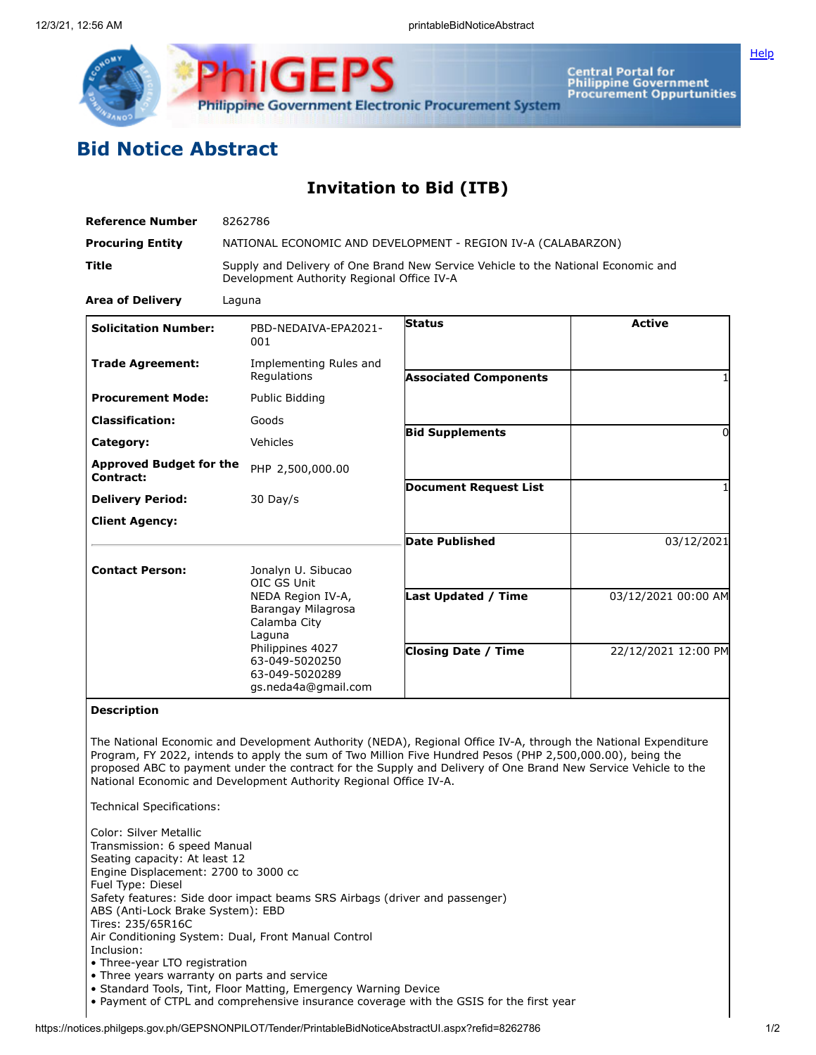

Central Portal for<br>Philippine Government<br>Procurement Oppurtunities

**[Help](javascript:void(window.open()** 

## **Bid Notice Abstract**

## **Invitation to Bid (ITB)**

| <b>Reference Number</b>                     | 8262786                                                                                                                                          |                              |                     |  |  |
|---------------------------------------------|--------------------------------------------------------------------------------------------------------------------------------------------------|------------------------------|---------------------|--|--|
| <b>Procuring Entity</b>                     | NATIONAL ECONOMIC AND DEVELOPMENT - REGION IV-A (CALABARZON)                                                                                     |                              |                     |  |  |
| <b>Title</b>                                | Supply and Delivery of One Brand New Service Vehicle to the National Economic and<br>Development Authority Regional Office IV-A                  |                              |                     |  |  |
| <b>Area of Delivery</b>                     | Laguna                                                                                                                                           |                              |                     |  |  |
| <b>Solicitation Number:</b>                 | PBD-NEDAIVA-EPA2021-<br>001                                                                                                                      | <b>Status</b>                | <b>Active</b>       |  |  |
| <b>Trade Agreement:</b>                     | Implementing Rules and<br>Regulations                                                                                                            | <b>Associated Components</b> |                     |  |  |
| <b>Procurement Mode:</b>                    | Public Bidding                                                                                                                                   |                              |                     |  |  |
| <b>Classification:</b>                      | Goods                                                                                                                                            |                              |                     |  |  |
| Category:                                   | Vehicles                                                                                                                                         | <b>Bid Supplements</b>       | O                   |  |  |
| <b>Approved Budget for the</b><br>Contract: | PHP 2,500,000.00                                                                                                                                 |                              |                     |  |  |
| <b>Delivery Period:</b>                     | 30 Day/s                                                                                                                                         | <b>Document Request List</b> |                     |  |  |
| <b>Client Agency:</b>                       |                                                                                                                                                  |                              |                     |  |  |
|                                             |                                                                                                                                                  | <b>Date Published</b>        | 03/12/2021          |  |  |
| <b>Contact Person:</b>                      | Jonalyn U. Sibucao<br>OIC GS Unit                                                                                                                |                              |                     |  |  |
|                                             | NEDA Region IV-A,<br>Barangay Milagrosa<br>Calamba City<br>Laguna<br>Philippines 4027<br>63-049-5020250<br>63-049-5020289<br>gs.neda4a@gmail.com | <b>Last Updated / Time</b>   | 03/12/2021 00:00 AM |  |  |
|                                             |                                                                                                                                                  | <b>Closing Date / Time</b>   | 22/12/2021 12:00 PM |  |  |

## **Description**

The National Economic and Development Authority (NEDA), Regional Office IV-A, through the National Expenditure Program, FY 2022, intends to apply the sum of Two Million Five Hundred Pesos (PHP 2,500,000.00), being the proposed ABC to payment under the contract for the Supply and Delivery of One Brand New Service Vehicle to the National Economic and Development Authority Regional Office IV-A.

Technical Specifications:

Color: Silver Metallic Transmission: 6 speed Manual Seating capacity: At least 12 Engine Displacement: 2700 to 3000 cc Fuel Type: Diesel Safety features: Side door impact beams SRS Airbags (driver and passenger) ABS (Anti-Lock Brake System): EBD Tires: 235/65R16C Air Conditioning System: Dual, Front Manual Control Inclusion: • Three-year LTO registration

- Three years warranty on parts and service
- Standard Tools, Tint, Floor Matting, Emergency Warning Device
- Payment of CTPL and comprehensive insurance coverage with the GSIS for the first year